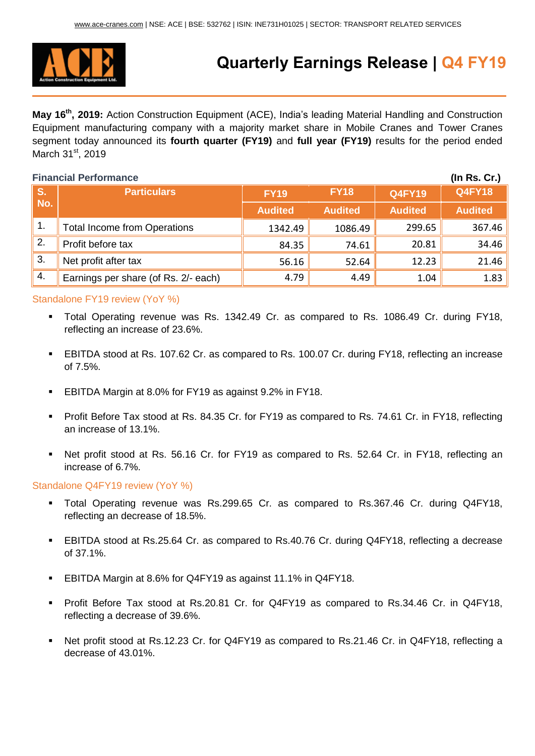

# **Quarterly Earnings Release | Q4 FY19**

**May 16 th, 2019:** Action Construction Equipment (ACE), India's leading Material Handling and Construction Equipment manufacturing company with a majority market share in Mobile Cranes and Tower Cranes segment today announced its **fourth quarter (FY19)** and **full year (FY19)** results for the period ended March 31<sup>st</sup>, 2019

## **Financial Performance (In Rs. Cr.) S. No. Particulars FY19 FY18 Q4FY19 Q4FY18 Audited Audited Audited Audited** 1. Total Income from Operations  $\parallel$  1342.49 1086.49 299.65 367.46 2. Profit before tax 84.35 74.61 20.81 34.46 3. Net profit after tax 56.16 52.64 12.23 21.46 4. Earnings per share (of Rs. 2/- each)  $\begin{array}{|c|c|c|c|c|c|c|c|c|} \hline & 4.49 & 1.04 & 1.83 \ \hline \end{array}$

### Standalone FY19 review (YoY %)

- Total Operating revenue was Rs. 1342.49 Cr. as compared to Rs. 1086.49 Cr. during FY18, reflecting an increase of 23.6%.
- EBITDA stood at Rs. 107.62 Cr. as compared to Rs. 100.07 Cr. during FY18, reflecting an increase of 7.5%.
- EBITDA Margin at 8.0% for FY19 as against 9.2% in FY18.
- Profit Before Tax stood at Rs. 84.35 Cr. for FY19 as compared to Rs. 74.61 Cr. in FY18, reflecting an increase of 13.1%.
- Net profit stood at Rs. 56.16 Cr. for FY19 as compared to Rs. 52.64 Cr. in FY18, reflecting an increase of 6.7%.

### Standalone Q4FY19 review (YoY %)

- Total Operating revenue was Rs.299.65 Cr. as compared to Rs.367.46 Cr. during Q4FY18, reflecting an decrease of 18.5%.
- EBITDA stood at Rs.25.64 Cr. as compared to Rs.40.76 Cr. during Q4FY18, reflecting a decrease of 37.1%.
- EBITDA Margin at 8.6% for Q4FY19 as against 11.1% in Q4FY18.
- Profit Before Tax stood at Rs.20.81 Cr. for Q4FY19 as compared to Rs.34.46 Cr. in Q4FY18, reflecting a decrease of 39.6%.
- Net profit stood at Rs.12.23 Cr. for Q4FY19 as compared to Rs.21.46 Cr. in Q4FY18, reflecting a decrease of 43.01%.